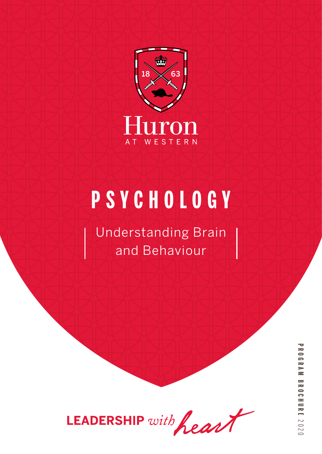

# **PSYCHOLOGY**

Understanding Brain and Behaviour



**PROGRAM BROCHUREPROGRAM BROCHURE 2020**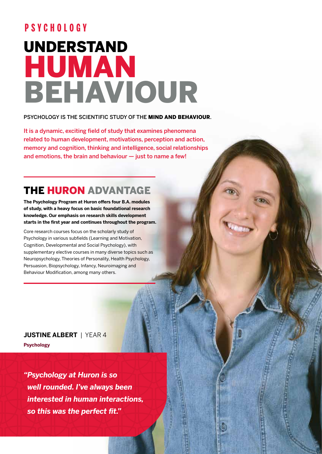## UNDERSTAND HUMAN BEHAVIOUR **PSYCHOLOGY**

#### PSYCHOLOGY IS THE SCIENTIFIC STUDY OF THE MIND AND BEHAVIOUR.

It is a dynamic, exciting field of study that examines phenomena related to human development, motivations, perception and action, memory and cognition, thinking and intelligence, social relationships and emotions, the brain and behaviour — just to name a few!

## THE HURON ADVANTAGE

**The Psychology Program at Huron offers four B.A. modules of study, with a heavy focus on basic foundational research knowledge. Our emphasis on research skills development starts in the first year and continues throughout the program.** 

Core research courses focus on the scholarly study of Psychology in various subfields (Learning and Motivation, Cognition, Developmental and Social Psychology), with supplementary elective courses in many diverse topics such as Neuropsychology, Theories of Personality, Health Psychology, Persuasion, Biopsychology, Infancy, Neuroimaging and Behaviour Modification, among many others.

**JUSTINE ALBERT** | YEAR 4 **Psychology** 

*"Psychology at Huron is so well rounded. I've always been interested in human interactions, so this was the perfect fit."*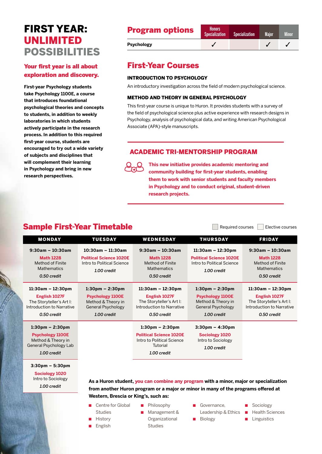## FIRST YEAR: UNLIMITED POSSIBILITIES

#### Your first year is all about exploration and discovery.

**First-year Psychology students take Psychology 1100E, a course that introduces foundational psychological theories and concepts to students, in addition to weekly laboratories in which students actively participate in the research process. In addition to this required first-year course, students are encouraged to try out a wide variety of subjects and disciplines that will complement their learning in Psychology and bring in new research perspectives.**

#### Progr

| <b>Program options</b> | <b>Honors</b><br><b>Specialization</b> | <b>Specialization</b> | <b>Maior</b> | <b>Minor</b> |
|------------------------|----------------------------------------|-----------------------|--------------|--------------|
| <b>Psychology</b>      |                                        |                       |              |              |

### First-Year Courses

#### INTRODUCTION TO PSYCHOLOGY

An introductory investigation across the field of modern psychological science.

#### METHOD AND THEORY IN GENERAL PSYCHOLOGY

This first-year course is unique to Huron. It provides students with a survey of the field of psychological science plus active experience with research designs in Psychology, analysis of psychological data, and writing American Psychological Associate (APA)-style manuscripts.

#### ACADEMIC TRI-MENTORSHIP PROGRAM



**This new initiative provides academic mentoring and community building for first-year students, enabling them to work with senior students and faculty members in Psychology and to conduct original, student-driven research projects.**

### Sample First-Year Timetable  $\Box$  Required courses  $\Box$  Elective courses

MONDAY TUESDAY WEDNESDAY THURSDAY FRIDAY **9:30am – 10:30am Math 1228** Method of Finite **Mathematics** *0.50 credit* **10:30am – 11:30am Political Science 1020E** Intro to Political Science *1.00 credit* **9:30am – 10:30am Math 1228** Method of Finite **Mathematics** *0.50 credit* **11:30am – 12:30pm Political Science 1020E** Intro to Political Science *1.00 credit* **9:30am – 10:30am Math 1228** Method of Finite **Mathematics** *0.50 credit* **11:30am – 12:30pm English 1027F** The Storyteller's Art I: Introduction to Narrative *0.50 credit* **1:30pm – 2:30pm Psychology 1100E** Method & Theory in General Psychology *1.00 credit* **11:30am – 12:30pm English 1027F** The Storyteller's Art I: Introduction to Narrative *0.50 credit* **1:30pm – 2:30pm Psychology 1100E** Method & Theory in General Psychology *1.00 credit* **11:30am – 12:30pm English 1027F** The Storyteller's Art I: Introduction to Narrative *0.50 credit* **1:30pm – 2:30pm Psychology 1100E** Method & Theory in General Psychology Lab *1.00 credit* **1:30pm – 2:30pm Political Science 1020E** Intro to Political Science **Tutorial** *1.00 credit* **3:30pm – 4:30pm Sociology 1020** Intro to Sociology *1.00 credit* **3:30pm – 5:30pm Sociology 1020** Intro to Sociology *1.00 credit* **As a Huron student, you can combine any program with a minor, major or specialization** 

**from another Huron program or a major or minor in many of the programs offered at Western, Brescia or King's, such as:**

- Centre for Global Studies
- Philosophy Management &
	- Organizational **Studies**
- Governance. Leadership & Ethics
- **Biology**
- Sociology
- Health Sciences
	- **Linguistics**

**History English**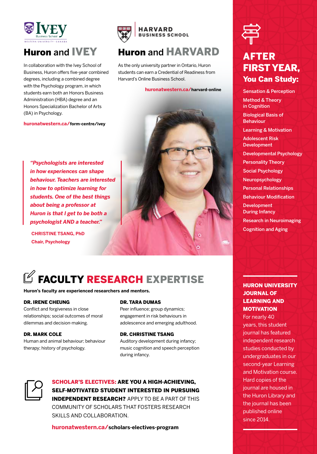

## Huron and IVEY

In collaboration with the Ivey School of Business, Huron offers five-year combined degrees, including a combined degree with the Psychology program, in which students earn both an Honors Business Administration (HBA) degree and an Honors Specialization Bachelor of Arts (BA) in Psychology.

**huronatwestern.ca/form-centre/ivey**



### Huron and HARVARD

As the only university partner in Ontario, Huron students can earn a Credential of Readiness from Harvard's Online Business School.

#### **huronatwestern.ca/harvard-online**

*"Psychologists are interested in how experiences can shape behaviour. Teachers are interested in how to optimize learning for students. One of the best things about being a professor at Huron is that I get to be both a psychologist AND a teacher."*

**CHRISTINE TSANG, PhD Chair, Psychology**



## $\mathbb Z$  FACULTY RESEARCH EXPERTISE

**Huron's faculty are experienced researchers and mentors.**

#### DR. IRENE CHEUNG

Conflict and forgiveness in close relationships; social outcomes of moral dilemmas and decision-making.

#### DR. MARK COLE

Human and animal behaviour; behaviour therapy; history of psychology.

#### DR. TARA DUMAS

Peer influence; group dynamics; engagement in risk behaviours in adolescence and emerging adulthood.

#### DR. CHRISTINE TSANG

Auditory development during infancy; music cognition and speech perception during infancy.



SCHOLAR'S ELECTIVES: ARE YOU A HIGH-ACHIEVING, SELF-MOTIVATED STUDENT INTERESTED IN PURSUING INDEPENDENT RESEARCH? APPLY TO BE A PART OF THIS COMMUNITY OF SCHOLARS THAT FOSTERS RESEARCH SKILLS AND COLLABORATION.

**huronatwestern.ca/scholars-electives-program**



## AFTER FIRST YEAR, You Can Study:

Sensation & Perception Method & Theory in Cognition Biological Basis of Behaviour Learning & Motivation Adolescent Risk Development Developmental Psychology Personality Theory Social Psychology Neuropsychology Personal Relationships Behaviour Modification **Development** During Infancy Research in Neuroimaging Cognition and Aging

#### HURON UNIVERSITY JOURNAL OF LEARNING AND **MOTIVATION**

For nearly 40 years, this student journal has featured independent research studies conducted by undergraduates in our second-year Learning and Motivation course. Hard copies of the journal are housed in the Huron Library and the journal has been published online since 2014.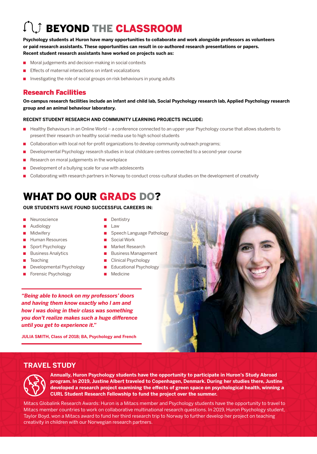## **COMPARE CLASSROOM**

**Psychology students at Huron have many opportunities to collaborate and work alongside professors as volunteers or paid research assistants. These opportunities can result in co-authored research presentations or papers. Recent student research assistants have worked on projects such as:**

- Moral judgements and decision-making in social contexts
- Effects of maternal interactions on infant vocalizations
- Investigating the role of social groups on risk behaviours in young adults

#### Research Facilities

**On-campus research facilities include an infant and child lab, Social Psychology research lab, Applied Psychology research group and an animal behaviour laboratory.** 

#### **RECENT STUDENT RESEARCH AND COMMUNITY LEARNING PROJECTS INCLUDE:**

- Healthy Behaviours in an Online World a conference connected to an upper-year Psychology course that allows students to present their research on healthy social media use to high school students
- Collaboration with local not-for-profit organizations to develop community outreach programs;
- Developmental Psychology research studies in local childcare centres connected to a second-year course
- Research on moral judgements in the workplace
- Development of a bullying scale for use with adolescents
- Collaborating with research partners in Norway to conduct cross-cultural studies on the development of creativity

## WHAT DO OUR GRADS DO?

#### **OUR STUDENTS HAVE FOUND SUCCESSFUL CAREERS IN:**

- **Neuroscience**
- Audiology
- Midwifery
- Human Resources
- Sport Psychology
- Business Analytics
- Teaching
- Developmental Psychology
- Forensic Psychology
- **Dentistry**
- Law
- Speech Language Pathology
- Social Work
- Market Research
- Business Management
- Clinical Psychology
- Educational Psychology
- Medicine

*"Being able to knock on my professors' doors and having them know exactly who I am and how I was doing in their class was something you don't realize makes such a huge difference until you get to experience it."*

**JULIA SMITH, Class of 2018; BA, Psychology and French**



#### **TRAVEL STUDY**



**Annually, Huron Psychology students have the opportunity to participate in Huron's Study Abroad program. In 2019, Justine Albert traveled to Copenhagen, Denmark. During her studies there, Justine developed a research project examining the effects of green space on psychological health, winning a CURL Student Research Fellowship to fund the project over the summer.**

Mitacs Globalink Research Awards: Huron is a Mitacs member and Psychology students have the opportunity to travel to Mitacs member countries to work on collaborative multinational research questions. In 2019, Huron Psychology student, Taylor Boyd, won a Mitacs award to fund her third research trip to Norway to further develop her project on teaching creativity in children with our Norwegian research partners.